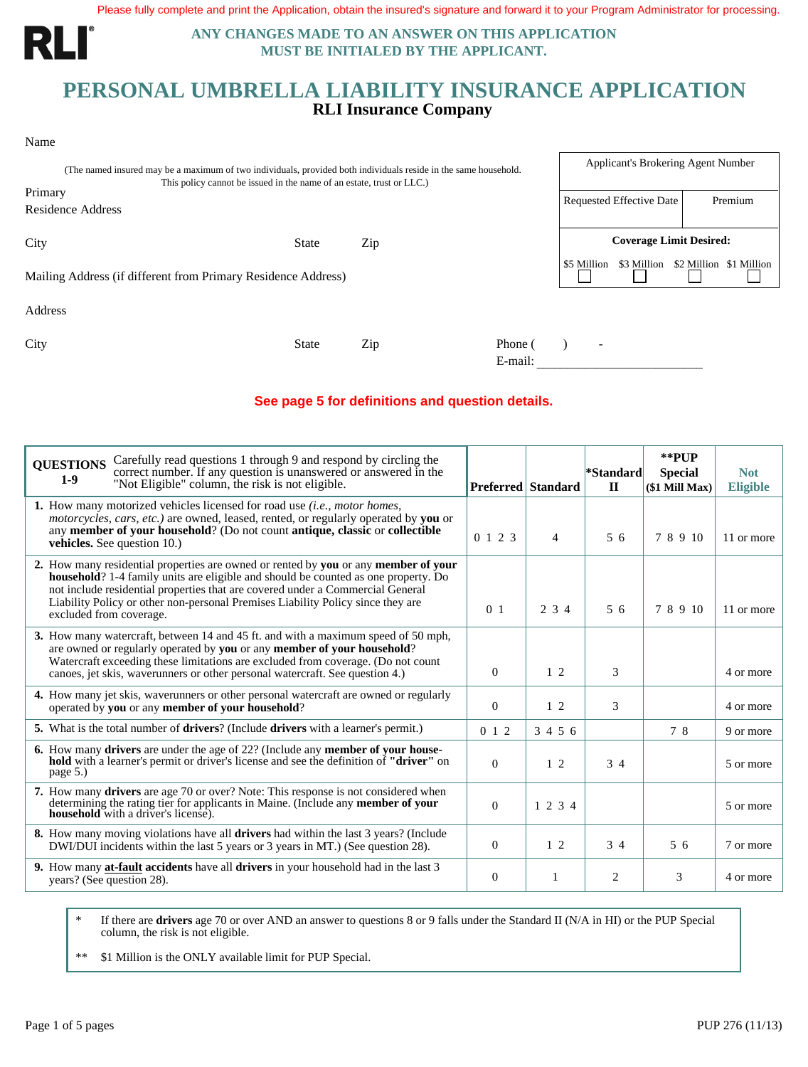Please fully complete and print the Application, obtain the insured's signature and forward it to your Program Administrator for processing.

RLI

Name

**ANY CHANGES MADE TO AN ANSWER ON THIS APPLICATION MUST BE INITIALED BY THE APPLICANT.**

## **PERSONAL UMBRELLA LIABILITY INSURANCE APPLICATION RLI Insurance Company**

| (The named insured may be a maximum of two individuals, provided both individuals reside in the same household.<br>This policy cannot be issued in the name of an estate, trust or LLC.) | Applicant's Brokering Agent Number |     |                    |                                |                                     |  |
|------------------------------------------------------------------------------------------------------------------------------------------------------------------------------------------|------------------------------------|-----|--------------------|--------------------------------|-------------------------------------|--|
| Primary<br>Residence Address                                                                                                                                                             |                                    |     |                    | Requested Effective Date       | Premium                             |  |
| City                                                                                                                                                                                     | <b>State</b>                       | Zip |                    | <b>Coverage Limit Desired:</b> |                                     |  |
| Mailing Address (if different from Primary Residence Address)                                                                                                                            |                                    |     |                    | \$5 Million                    | \$3 Million \$2 Million \$1 Million |  |
| Address                                                                                                                                                                                  |                                    |     |                    |                                |                                     |  |
| City                                                                                                                                                                                     | <b>State</b>                       | Zip | Phone (<br>E-mail: | $\overline{\phantom{a}}$       |                                     |  |

#### **See page 5 for definitions and question details.**

| Carefully read questions 1 through 9 and respond by circling the<br><b>QUESTIONS</b><br>correct number. If any question is unanswered or answered in the<br>$1-9$<br>"Not Eligible" column, the risk is not eligible.                                                                                                                                                             |                 | <b>Preferred Standard</b> | *Standard<br>$\mathbf{H}$ | **PUP<br><b>Special</b><br>(\$1 Mill Max) | <b>Not</b><br><b>Eligible</b> |
|-----------------------------------------------------------------------------------------------------------------------------------------------------------------------------------------------------------------------------------------------------------------------------------------------------------------------------------------------------------------------------------|-----------------|---------------------------|---------------------------|-------------------------------------------|-------------------------------|
| 1. How many motorized vehicles licensed for road use <i>(i.e., motor homes,</i><br><i>motorcycles, cars, etc.)</i> are owned, leased, rented, or regularly operated by you or<br>any member of your household? (Do not count antique, classic or collectible<br><b>vehicles.</b> See question 10.)                                                                                | $0 \t1 \t2 \t3$ | $\overline{4}$            | 56                        | 78910                                     | 11 or more                    |
| 2. How many residential properties are owned or rented by you or any member of your<br><b>household</b> ? 1-4 family units are eligible and should be counted as one property. Do<br>not include residential properties that are covered under a Commercial General<br>Liability Policy or other non-personal Premises Liability Policy since they are<br>excluded from coverage. | 0 <sub>1</sub>  | 2 3 4                     | 56                        | 7 8 9 10                                  | 11 or more                    |
| 3. How many watercraft, between 14 and 45 ft. and with a maximum speed of 50 mph,<br>are owned or regularly operated by you or any member of your household?<br>Watercraft exceeding these limitations are excluded from coverage. (Do not count<br>canoes, jet skis, waverunners or other personal watercraft. See question 4.)                                                  | $\Omega$        | $1\,2$                    | 3                         |                                           | 4 or more                     |
| 4. How many jet skis, waverunners or other personal watercraft are owned or regularly<br>operated by you or any member of your household?                                                                                                                                                                                                                                         | $\theta$        | $1\,2$                    | 3                         |                                           | 4 or more                     |
| 5. What is the total number of <b>drivers</b> ? (Include <b>drivers</b> with a learner's permit.)                                                                                                                                                                                                                                                                                 | $0 \; 1 \; 2$   | 3 4 5 6                   |                           | 78                                        | 9 or more                     |
| <b>6.</b> How many drivers are under the age of 22? (Include any <b>member of your household</b> with a learner's permit or driver's license and see the definition of "driver" on<br>page 5.)                                                                                                                                                                                    | $\Omega$        | $1\,2$                    | 34                        |                                           | 5 or more                     |
| <b>7.</b> How many drivers are age 70 or over? Note: This response is not considered when<br>determining the rating tier for applicants in Maine. (Include any <b>member of your</b><br><b>household</b> with a driver's license).                                                                                                                                                | $\Omega$        | 1 2 3 4                   |                           |                                           | 5 or more                     |
| <b>8.</b> How many moving violations have all <b>drivers</b> had within the last 3 years? (Include<br>DWI/DUI incidents within the last 5 years or 3 years in MT.) (See question 28).                                                                                                                                                                                             | $\Omega$        | $1\quad2$                 | 34                        | 56                                        | 7 or more                     |
| <b>9.</b> How many at-fault accidents have all drivers in your household had in the last 3<br>years? (See question 28).                                                                                                                                                                                                                                                           | $\theta$        | -1                        | 2                         | 3                                         | 4 or more                     |
|                                                                                                                                                                                                                                                                                                                                                                                   |                 |                           |                           |                                           |                               |

\* If there are **drivers** age 70 or over AND an answer to questions 8 or 9 falls under the Standard II (N/A in HI) or the PUP Special column, the risk is not eligible.

\*\* \$1 Million is the ONLY available limit for PUP Special.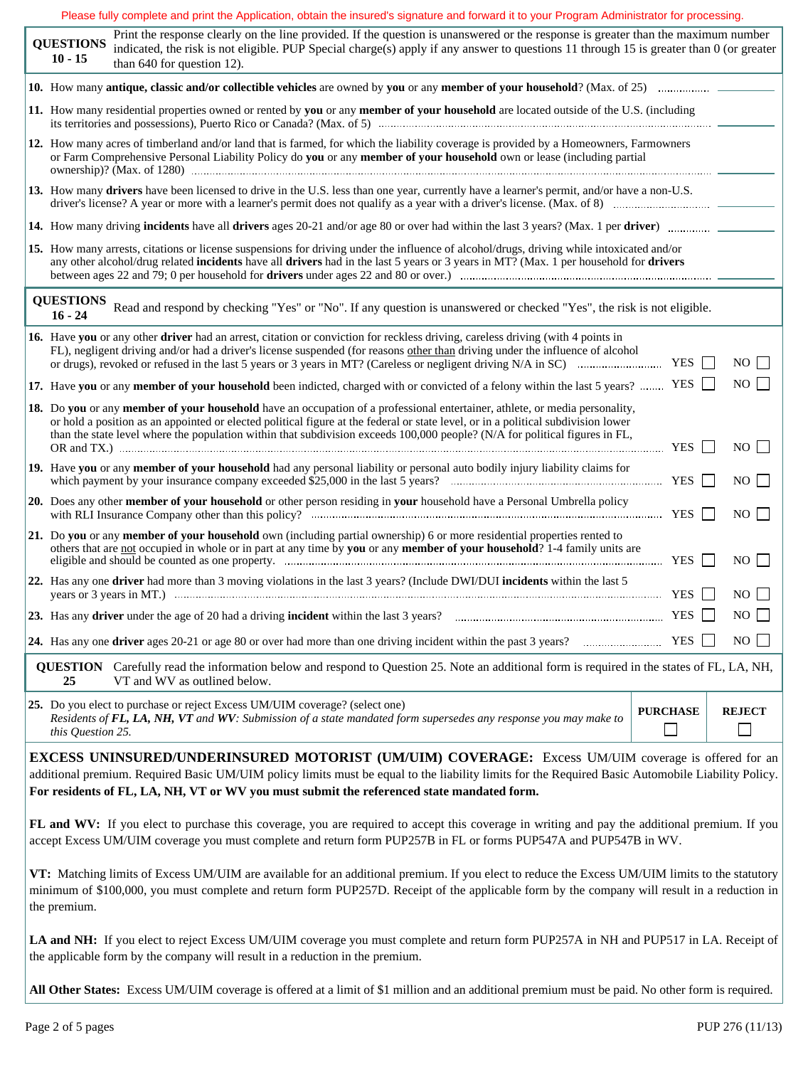|  |                                                                                                                                                                                                                                                                 | Please fully complete and print the Application, obtain the insured's signature and forward it to your Program Administrator for processing.                                                                                                                                                                                                                                                                                |                 |  |               |  |  |  |  |  |
|--|-----------------------------------------------------------------------------------------------------------------------------------------------------------------------------------------------------------------------------------------------------------------|-----------------------------------------------------------------------------------------------------------------------------------------------------------------------------------------------------------------------------------------------------------------------------------------------------------------------------------------------------------------------------------------------------------------------------|-----------------|--|---------------|--|--|--|--|--|
|  | <b>QUESTIONS</b><br>$10 - 15$                                                                                                                                                                                                                                   | Print the response clearly on the line provided. If the question is unanswered or the response is greater than the maximum number<br>indicated, the risk is not eligible. PUP Special charge(s) apply if any answer to questions 11 through 15 is greater than 0 (or greater<br>than 640 for question 12).                                                                                                                  |                 |  |               |  |  |  |  |  |
|  |                                                                                                                                                                                                                                                                 |                                                                                                                                                                                                                                                                                                                                                                                                                             |                 |  |               |  |  |  |  |  |
|  |                                                                                                                                                                                                                                                                 | 11. How many residential properties owned or rented by you or any member of your household are located outside of the U.S. (including                                                                                                                                                                                                                                                                                       |                 |  |               |  |  |  |  |  |
|  | 12. How many acres of timberland and/or land that is farmed, for which the liability coverage is provided by a Homeowners, Farmowners<br>or Farm Comprehensive Personal Liability Policy do you or any member of your household own or lease (including partial |                                                                                                                                                                                                                                                                                                                                                                                                                             |                 |  |               |  |  |  |  |  |
|  |                                                                                                                                                                                                                                                                 | 13. How many drivers have been licensed to drive in the U.S. less than one year, currently have a learner's permit, and/or have a non-U.S.                                                                                                                                                                                                                                                                                  |                 |  |               |  |  |  |  |  |
|  |                                                                                                                                                                                                                                                                 |                                                                                                                                                                                                                                                                                                                                                                                                                             |                 |  |               |  |  |  |  |  |
|  |                                                                                                                                                                                                                                                                 | 15. How many arrests, citations or license suspensions for driving under the influence of alcohol/drugs, driving while intoxicated and/or<br>any other alcohol/drug related incidents have all drivers had in the last 5 years or 3 years in MT? (Max. 1 per household for drivers                                                                                                                                          |                 |  |               |  |  |  |  |  |
|  | <b>QUESTIONS</b><br>$16 - 24$                                                                                                                                                                                                                                   | Read and respond by checking "Yes" or "No". If any question is unanswered or checked "Yes", the risk is not eligible.                                                                                                                                                                                                                                                                                                       |                 |  |               |  |  |  |  |  |
|  |                                                                                                                                                                                                                                                                 | 16. Have you or any other driver had an arrest, citation or conviction for reckless driving, careless driving (with 4 points in<br>FL), negligent driving and/or had a driver's license suspended (for reasons other than driving under the influence of alcohol                                                                                                                                                            |                 |  | $NO$ $\Box$   |  |  |  |  |  |
|  |                                                                                                                                                                                                                                                                 | 17. Have you or any member of your household been indicted, charged with or convicted of a felony within the last 5 years?  YES                                                                                                                                                                                                                                                                                             |                 |  | NO            |  |  |  |  |  |
|  |                                                                                                                                                                                                                                                                 | 18. Do you or any member of your household have an occupation of a professional entertainer, athlete, or media personality,<br>or hold a position as an appointed or elected political figure at the federal or state level, or in a political subdivision lower<br>than the state level where the population within that subdivision exceeds 100,000 people? (N/A for political figures in FL,<br>OR and TX.) $\cdots$ YES |                 |  | $NO$          |  |  |  |  |  |
|  |                                                                                                                                                                                                                                                                 | 19. Have you or any member of your household had any personal liability or personal auto bodily injury liability claims for                                                                                                                                                                                                                                                                                                 |                 |  | $NO$          |  |  |  |  |  |
|  |                                                                                                                                                                                                                                                                 | 20. Does any other member of your household or other person residing in your household have a Personal Umbrella policy                                                                                                                                                                                                                                                                                                      |                 |  | $NO$          |  |  |  |  |  |
|  |                                                                                                                                                                                                                                                                 | 21. Do you or any member of your household own (including partial ownership) 6 or more residential properties rented to<br>others that are not occupied in whole or in part at any time by you or any member of your household? 1-4 family units are                                                                                                                                                                        |                 |  | $NO$          |  |  |  |  |  |
|  |                                                                                                                                                                                                                                                                 | 22. Has any one driver had more than 3 moving violations in the last 3 years? (Include DWI/DUI incidents within the last 5                                                                                                                                                                                                                                                                                                  |                 |  | $NO$          |  |  |  |  |  |
|  |                                                                                                                                                                                                                                                                 | 23. Has any driver under the age of 20 had a driving incident within the last 3 years? $\Box$ The manufacture and the last 3 years? $\Box$                                                                                                                                                                                                                                                                                  |                 |  | NO            |  |  |  |  |  |
|  |                                                                                                                                                                                                                                                                 |                                                                                                                                                                                                                                                                                                                                                                                                                             |                 |  | $NO$ $\Box$   |  |  |  |  |  |
|  | 25                                                                                                                                                                                                                                                              | <b>QUESTION</b> Carefully read the information below and respond to Question 25. Note an additional form is required in the states of FL, LA, NH,<br>VT and WV as outlined below.                                                                                                                                                                                                                                           |                 |  |               |  |  |  |  |  |
|  | this Question 25.                                                                                                                                                                                                                                               | 25. Do you elect to purchase or reject Excess UM/UIM coverage? (select one)<br>Residents of FL, LA, NH, VT and WV: Submission of a state mandated form supersedes any response you may make to                                                                                                                                                                                                                              | <b>PURCHASE</b> |  | <b>REJECT</b> |  |  |  |  |  |
|  |                                                                                                                                                                                                                                                                 | <b>EXCESS UNINSURED/UNDERINSURED MOTORIST (UM/UIM) COVERAGE:</b> Excess UM/UIM coverage is offered for an<br>additional premium. Required Basic UM/UIM policy limits must be equal to the liability limits for the Required Basic Automobile Liability Policy.<br>For residents of FL, LA, NH, VT or WV you must submit the referenced state mandated form.                                                                 |                 |  |               |  |  |  |  |  |
|  |                                                                                                                                                                                                                                                                 | FL and WV: If you elect to purchase this coverage, you are required to accept this coverage in writing and pay the additional premium. If you<br>accept Excess UM/UIM coverage you must complete and return form PUP257B in FL or forms PUP547A and PUP547B in WV.                                                                                                                                                          |                 |  |               |  |  |  |  |  |
|  | the premium.                                                                                                                                                                                                                                                    | VT: Matching limits of Excess UM/UIM are available for an additional premium. If you elect to reduce the Excess UM/UIM limits to the statutory<br>minimum of \$100,000, you must complete and return form PUP257D. Receipt of the applicable form by the company will result in a reduction in                                                                                                                              |                 |  |               |  |  |  |  |  |
|  |                                                                                                                                                                                                                                                                 |                                                                                                                                                                                                                                                                                                                                                                                                                             |                 |  |               |  |  |  |  |  |

LA and NH: If you elect to reject Excess UM/UIM coverage you must complete and return form PUP257A in NH and PUP517 in LA. Receipt of the applicable form by the company will result in a reduction in the premium.

**All Other States:** Excess UM/UIM coverage is offered at a limitof \$1 million and an additional premium must be paid. No other form is required.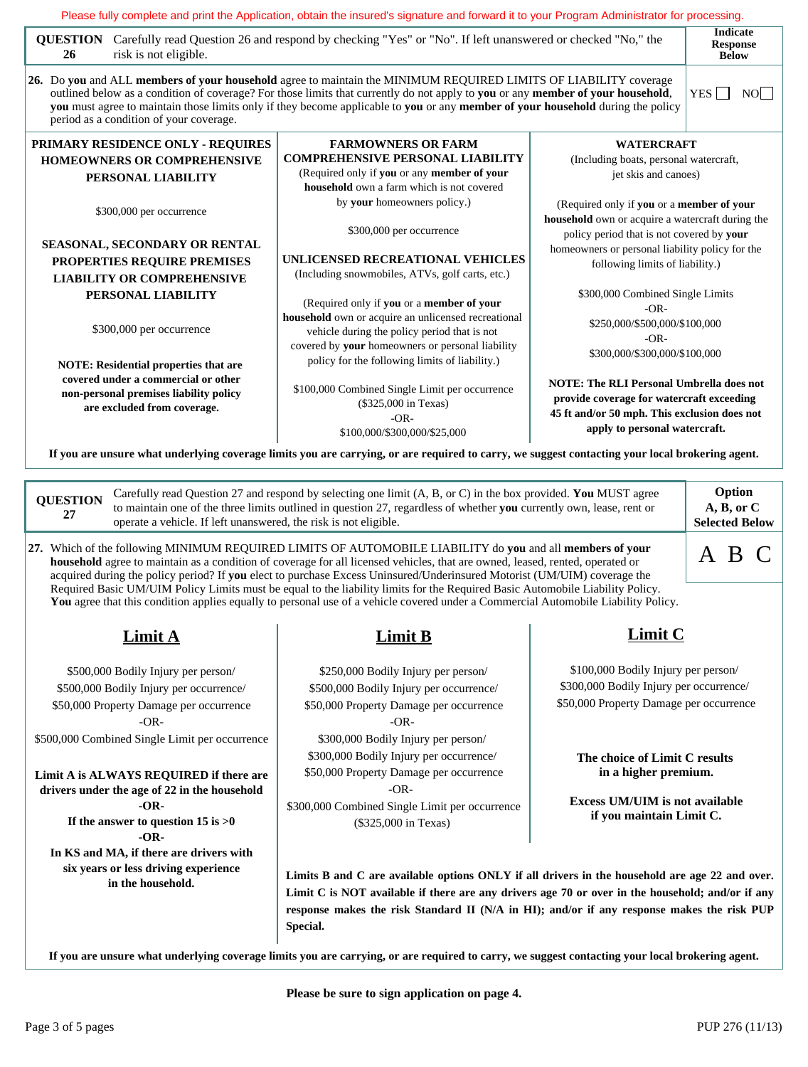| QUESTION Carefully read Question 26 and respond by checking "Yes" or "No". If left unanswered or checked "No," the<br>risk is not eligible.<br>26 |                                                                                                                                                                                                                                                                                                                                                                                                                                                                                                         | <b>Indicate</b><br><b>Response</b><br><b>Below</b>                                                                              |                                               |  |  |
|---------------------------------------------------------------------------------------------------------------------------------------------------|---------------------------------------------------------------------------------------------------------------------------------------------------------------------------------------------------------------------------------------------------------------------------------------------------------------------------------------------------------------------------------------------------------------------------------------------------------------------------------------------------------|---------------------------------------------------------------------------------------------------------------------------------|-----------------------------------------------|--|--|
| period as a condition of your coverage.                                                                                                           | 26. Do you and ALL members of your household agree to maintain the MINIMUM REQUIRED LIMITS OF LIABILITY coverage<br>outlined below as a condition of coverage? For those limits that currently do not apply to you or any member of your household,<br>you must agree to maintain those limits only if they become applicable to you or any member of your household during the policy                                                                                                                  |                                                                                                                                 | YES $\Box$<br>NO                              |  |  |
| PRIMARY RESIDENCE ONLY - REQUIRES                                                                                                                 | <b>FARMOWNERS OR FARM</b>                                                                                                                                                                                                                                                                                                                                                                                                                                                                               | <b>WATERCRAFT</b>                                                                                                               |                                               |  |  |
| <b>HOMEOWNERS OR COMPREHENSIVE</b><br>PERSONAL LIABILITY                                                                                          | <b>COMPREHENSIVE PERSONAL LIABILITY</b><br>(Required only if you or any member of your<br>household own a farm which is not covered                                                                                                                                                                                                                                                                                                                                                                     | (Including boats, personal watercraft,<br>jet skis and canoes)                                                                  |                                               |  |  |
| \$300,000 per occurrence                                                                                                                          | by your homeowners policy.)                                                                                                                                                                                                                                                                                                                                                                                                                                                                             | (Required only if you or a member of your<br>household own or acquire a watercraft during the                                   |                                               |  |  |
| SEASONAL, SECONDARY OR RENTAL<br>PROPERTIES REQUIRE PREMISES<br><b>LIABILITY OR COMPREHENSIVE</b>                                                 | \$300,000 per occurrence<br>UNLICENSED RECREATIONAL VEHICLES<br>(Including snowmobiles, ATVs, golf carts, etc.)                                                                                                                                                                                                                                                                                                                                                                                         | policy period that is not covered by your<br>homeowners or personal liability policy for the<br>following limits of liability.) |                                               |  |  |
| PERSONAL LIABILITY                                                                                                                                | (Required only if you or a member of your                                                                                                                                                                                                                                                                                                                                                                                                                                                               | $-OR-$                                                                                                                          | \$300,000 Combined Single Limits              |  |  |
| \$300,000 per occurrence                                                                                                                          | household own or acquire an unlicensed recreational<br>vehicle during the policy period that is not<br>covered by your homeowners or personal liability                                                                                                                                                                                                                                                                                                                                                 | \$250,000/\$500,000/\$100,000<br>$-OR-$<br>\$300,000/\$300,000/\$100,000                                                        |                                               |  |  |
| <b>NOTE:</b> Residential properties that are                                                                                                      | policy for the following limits of liability.)                                                                                                                                                                                                                                                                                                                                                                                                                                                          |                                                                                                                                 |                                               |  |  |
| covered under a commercial or other<br>non-personal premises liability policy<br>are excluded from coverage.                                      | <b>NOTE: The RLI Personal Umbrella does not</b><br>\$100,000 Combined Single Limit per occurrence<br>provide coverage for watercraft exceeding<br>(\$325,000 in Texas)<br>45 ft and/or 50 mph. This exclusion does not<br>$-OR-$<br>apply to personal watercraft.<br>\$100,000/\$300,000/\$25,000                                                                                                                                                                                                       |                                                                                                                                 |                                               |  |  |
|                                                                                                                                                   | If you are unsure what underlying coverage limits you are carrying, or are required to carry, we suggest contacting your local brokering agent.                                                                                                                                                                                                                                                                                                                                                         |                                                                                                                                 |                                               |  |  |
| <b>QUESTION</b><br>27<br>operate a vehicle. If left unanswered, the risk is not eligible.                                                         | Carefully read Question 27 and respond by selecting one limit (A, B, or C) in the box provided. You MUST agree<br>to maintain one of the three limits outlined in question 27, regardless of whether you currently own, lease, rent or                                                                                                                                                                                                                                                                  |                                                                                                                                 | Option<br>A, B, or C<br><b>Selected Below</b> |  |  |
|                                                                                                                                                   | 27. Which of the following MINIMUM REQUIRED LIMITS OF AUTOMOBILE LIABILITY do you and all members of your<br>household agree to maintain as a condition of coverage for all licensed vehicles, that are owned, leased, rented, operated or<br>acquired during the policy period? If you elect to purchase Excess Uninsured/Underinsured Motorist (UM/UIM) coverage the<br>Required Basic UM/UIM Policy Limits must be equal to the liability limits for the Required Basic Automobile Liability Policy. |                                                                                                                                 | A B C                                         |  |  |

# **Limit A**

\$500,000 Bodily Injury per person/ \$500,000 Bodily Injury per occurrence/ \$50,000 Property Damage per occurrence -OR- \$500,000 Combined Single Limit per occurrence

**Limit A is ALWAYS REQUIRED if there are drivers under the age of 22 in the household -OR-If the answer to question 15 is >0 -OR-In KS and MA, if there are drivers with six years or less driving experience**

**in the household.**

# **Limit B**

**You** agree that this condition applies equally to personal use of a vehicle covered under a Commercial Automobile Liability Policy.

\$250,000 Bodily Injury per person/ \$500,000 Bodily Injury per occurrence/ \$50,000 Property Damage per occurrence -OR- \$300,000 Bodily Injury per person/ \$300,000 Bodily Injury per occurrence/ \$50,000 Property Damage per occurrence -OR-

\$300,000 Combined Single Limit per occurrence (\$325,000 in Texas)

# **Limit C**

\$100,000 Bodily Injury per person/ \$300,000 Bodily Injury per occurrence/ \$50,000 Property Damage per occurrence

**The choice of Limit C results in a higher premium.**

**Excess UM/UIM is not available if you maintain Limit C.**

Limits B and C are available options ONLY if all drivers in the household are age 22 and over. Limit C is NOT available if there are any drivers age 70 or over in the household; and/or if any **response makes the risk Standard II (N/A in HI); and/or if any response makes the risk PUP Special.**

**If you are unsure what underlying coverage limits you are carrying, or are required to carry, we suggest contacting your local brokering agent.**

**Please be sure to sign application on page 4.**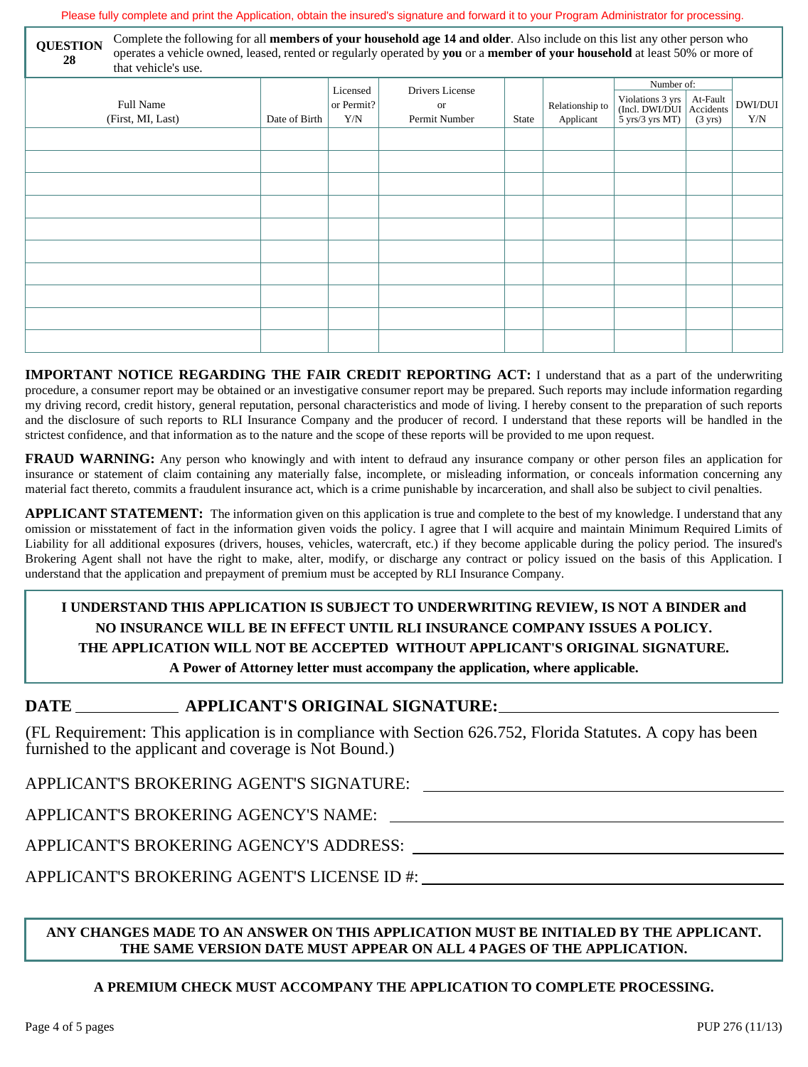Please fully complete and print the Application, obtain the insured's signature and forward it to your Program Administrator for processing.

| Complete the following for all <b>members of your household age 14 and older</b> . Also include on this list any other person who<br><b>QUESTION</b><br>operates a vehicle owned, leased, rented or regularly operated by you or a member of your household at least 50% or more of<br>28<br>that vehicle's use. |                                       |                                           |                   |                     |       |                              |                                                                                                       |                   |                |
|------------------------------------------------------------------------------------------------------------------------------------------------------------------------------------------------------------------------------------------------------------------------------------------------------------------|---------------------------------------|-------------------------------------------|-------------------|---------------------|-------|------------------------------|-------------------------------------------------------------------------------------------------------|-------------------|----------------|
|                                                                                                                                                                                                                                                                                                                  |                                       | Number of:<br>Drivers License<br>Licensed |                   |                     |       |                              |                                                                                                       |                   |                |
|                                                                                                                                                                                                                                                                                                                  | <b>Full Name</b><br>(First, MI, Last) | Date of Birth                             | or Permit?<br>Y/N | or<br>Permit Number | State | Relationship to<br>Applicant | Violations $3 \text{ yrs}$ At-Fault<br>(Incl. DWI/DUI   Accidents<br>$5 \text{ yrs}/3 \text{ yrs MT}$ | $(3 \text{ yrs})$ | DWI/DUI<br>Y/N |
|                                                                                                                                                                                                                                                                                                                  |                                       |                                           |                   |                     |       |                              |                                                                                                       |                   |                |
|                                                                                                                                                                                                                                                                                                                  |                                       |                                           |                   |                     |       |                              |                                                                                                       |                   |                |
|                                                                                                                                                                                                                                                                                                                  |                                       |                                           |                   |                     |       |                              |                                                                                                       |                   |                |
|                                                                                                                                                                                                                                                                                                                  |                                       |                                           |                   |                     |       |                              |                                                                                                       |                   |                |
|                                                                                                                                                                                                                                                                                                                  |                                       |                                           |                   |                     |       |                              |                                                                                                       |                   |                |
|                                                                                                                                                                                                                                                                                                                  |                                       |                                           |                   |                     |       |                              |                                                                                                       |                   |                |
|                                                                                                                                                                                                                                                                                                                  |                                       |                                           |                   |                     |       |                              |                                                                                                       |                   |                |
|                                                                                                                                                                                                                                                                                                                  |                                       |                                           |                   |                     |       |                              |                                                                                                       |                   |                |
|                                                                                                                                                                                                                                                                                                                  |                                       |                                           |                   |                     |       |                              |                                                                                                       |                   |                |
|                                                                                                                                                                                                                                                                                                                  |                                       |                                           |                   |                     |       |                              |                                                                                                       |                   |                |

**IMPORTANT NOTICE REGARDING THE FAIR CREDIT REPORTING ACT:** I understand that as a part of the underwriting procedure, a consumer report may be obtained or an investigative consumer report may be prepared. Such reports may include information regarding my driving record, credit history, general reputation, personal characteristics and mode of living. I hereby consent to the preparation of such reports and the disclosure of such reports to RLI Insurance Company and the producer of record. I understand that these reports will be handled in the strictest confidence, and that information as to the nature and the scope of these reports will be provided to me upon request.

**FRAUD** WARNING: Any person who knowingly and with intent to defraud any insurance company or other person files an application for insurance or statement of claim containing any materially false, incomplete, or misleading information, or conceals information concerning any material fact thereto, commits a fraudulent insurance act, which is a crime punishable by incarceration, and shall also be subject to civil penalties.

**APPLICANT STATEMENT:** The information given on this application is true and complete to the best of my knowledge. I understand that any omission or misstatement of fact in the information given voids the policy. I agree that I will acquire and maintain Minimum Required Limits of Liability for all additional exposures (drivers, houses, vehicles, watercraft, etc.) if they become applicable during the policy period.The insured's Brokering Agent shall not have the right to make, alter, modify, or discharge any contract or policy issued on the basis of this Application. I understand that the application and prepayment of premium must be accepted by RLI Insurance Company.

## **I UNDERSTAND THIS APPLICATION IS SUBJECT TO UNDERWRITING REVIEW, IS NOT A BINDER and NO INSURANCE WILL BE IN EFFECT UNTIL RLI INSURANCE COMPANY ISSUES A POLICY. THE APPLICATION WILL NOT BE ACCEPTED WITHOUT APPLICANT'S ORIGINAL SIGNATURE. A Power of Attorney letter must accompany the application, where applicable.**

## **DATE APPLICANT'S ORIGINAL SIGNATURE:**

(FL Requirement: This application is in compliance with Section 626.752, Florida Statutes. A copy has been furnished to the applicant and coverage is Not Bound.)

APPLICANT'S BROKERING AGENT'S SIGNATURE:

APPLICANT'S BROKERING AGENCY'S NAME:

APPLICANT'S BROKERING AGENCY'S ADDRESS:

APPLICANT'S BROKERING AGENT'S LICENSE ID #:

## **ANY CHANGES MADE TO AN ANSWER ON THIS APPLICATION MUST BE INITIALED BY THE APPLICANT. THE SAME VERSION DATE MUST APPEAR ON ALL 4 PAGES OF THE APPLICATION.**

## **A PREMIUM CHECK MUST ACCOMPANY THE APPLICATION TO COMPLETE PROCESSING.**